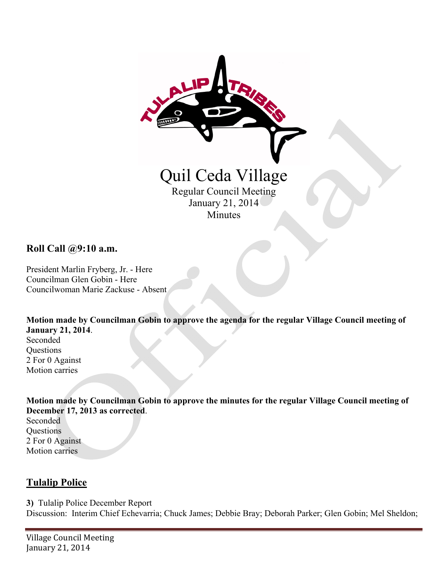

**Roll Call @9:10 a.m.** 

President Marlin Fryberg, Jr. - Here Councilman Glen Gobin - Here Councilwoman Marie Zackuse - Absent

**Motion made by Councilman Gobin to approve the agenda for the regular Village Council meeting of January 21, 2014**.

Seconded **Questions** 2 For 0 Against Motion carries

**Motion made by Councilman Gobin to approve the minutes for the regular Village Council meeting of December 17, 2013 as corrected**.

Seconded **Questions** 2 For 0 Against Motion carries

#### **Tulalip Police**

**3)** Tulalip Police December Report Discussion: Interim Chief Echevarria; Chuck James; Debbie Bray; Deborah Parker; Glen Gobin; Mel Sheldon;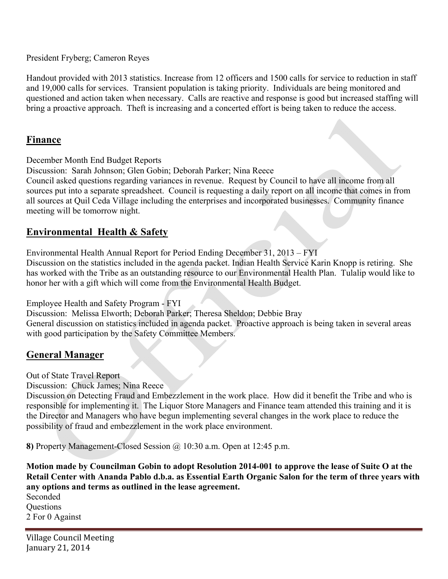President Fryberg; Cameron Reyes

Handout provided with 2013 statistics. Increase from 12 officers and 1500 calls for service to reduction in staff and 19,000 calls for services. Transient population is taking priority. Individuals are being monitored and questioned and action taken when necessary. Calls are reactive and response is good but increased staffing will bring a proactive approach. Theft is increasing and a concerted effort is being taken to reduce the access.

### **Finance**

December Month End Budget Reports

Discussion: Sarah Johnson; Glen Gobin; Deborah Parker; Nina Reece

Council asked questions regarding variances in revenue. Request by Council to have all income from all sources put into a separate spreadsheet. Council is requesting a daily report on all income that comes in from all sources at Quil Ceda Village including the enterprises and incorporated businesses. Community finance meeting will be tomorrow night.

## **Environmental Health & Safety**

Environmental Health Annual Report for Period Ending December 31, 2013 – FYI

Discussion on the statistics included in the agenda packet. Indian Health Service Karin Knopp is retiring. She has worked with the Tribe as an outstanding resource to our Environmental Health Plan. Tulalip would like to honor her with a gift which will come from the Environmental Health Budget.

Employee Health and Safety Program - FYI

Discussion: Melissa Elworth; Deborah Parker; Theresa Sheldon; Debbie Bray General discussion on statistics included in agenda packet. Proactive approach is being taken in several areas with good participation by the Safety Committee Members.

## **General Manager**

Out of State Travel Report

Discussion: Chuck James; Nina Reece

Discussion on Detecting Fraud and Embezzlement in the work place. How did it benefit the Tribe and who is responsible for implementing it. The Liquor Store Managers and Finance team attended this training and it is the Director and Managers who have begun implementing several changes in the work place to reduce the possibility of fraud and embezzlement in the work place environment.

**8)** Property Management-Closed Session @ 10:30 a.m. Open at 12:45 p.m.

**Motion made by Councilman Gobin to adopt Resolution 2014-001 to approve the lease of Suite O at the Retail Center with Ananda Pablo d.b.a. as Essential Earth Organic Salon for the term of three years with any options and terms as outlined in the lease agreement.** 

Seconded **Ouestions** 2 For 0 Against

Village Council Meeting January 21, 2014